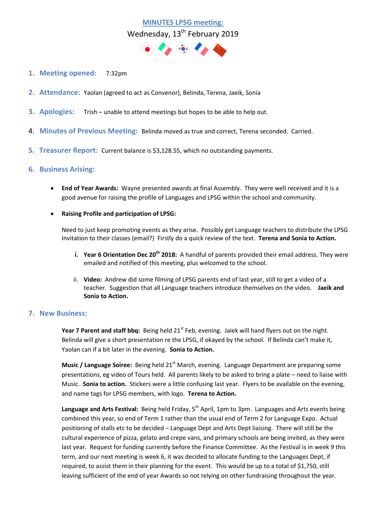

- **1. Meeting opened:** 7:32pm
- **2. Attendance:** Yaolan (agreed to act as Convenor), Belinda, Terena, Jaeik, Sonia
- **3. Apologies:** Trish unable to attend meetings but hopes to be able to help out.
- 4. **Minutes of Previous Meeting:** Belinda moved as true and correct, Terena seconded. Carried.
- **5. Treasurer Report:** Current balance is \$3,128.55, which no outstanding payments.

### **6. Business Arising:**

- **End of Year Awards:** Wayne presented awards at final Assembly. They were well received and it is a good avenue for raising the profile of Languages and LPSG within the school and community.
- **Raising Profile and participation of LPSG:**

Need to just keep promoting events as they arise. Possibly get Language teachers to distribute the LPSG Invitation to their classes (email?) Firstly do a quick review of the text. **Terena and Sonia to Action.**

- **i. Year 6 Orientation Dec 20th 2018:** A handful of parents provided their email address. They were emailed and notified of this meeting, plus welcomed to the school.
- ii. **Video:** Andrew did some filming of LPSG parents end of last year, still to get a video of a teacher. Suggestion that all Language teachers introduce themselves on the video. **Jaeik and Sonia to Action.**

#### **7. New Business:**

Year 7 Parent and staff bbq: Being held 21<sup>st</sup> Feb, evening. Jaiek will hand flyers out on the night. Belinda will give a short presentation re the LPSG, if okayed by the school. If Belinda can't make it, Yaolan can if a bit later in the evening. **Sonia to Action.**

**Music / Language Soiree:** Being held 21<sup>st</sup> March, evening. Language Department are preparing some presentations, eg video of Tours held. All parents likely to be asked to bring a plate – need to liaise with Music. **Sonia to action.** Stickers were a little confusing last year. Flyers to be available on the evening, and name tags for LPSG members, with logo. **Terena to Action.**

Language and Arts Festival: Being held Friday, 5<sup>th</sup> April, 1pm to 3pm. Languages and Arts events being combined this year, so end of Term 1 rather than the usual end of Term 2 for Language Expo. Actual positioning of stalls etc to be decided – Language Dept and Arts Dept liaising. There will still be the cultural experience of pizza, gelato and crepe vans, and primary schools are being invited, as they were last year. Request for funding currently before the Finance Committee. As the Festival is in week 9 this term, and our next meeting is week 6, it was decided to allocate funding to the Languages Dept, if required, to assist them in their planning for the event. This would be up to a total of \$1,750, still leaving sufficient of the end of year Awards so not relying on other fundraising throughout the year.